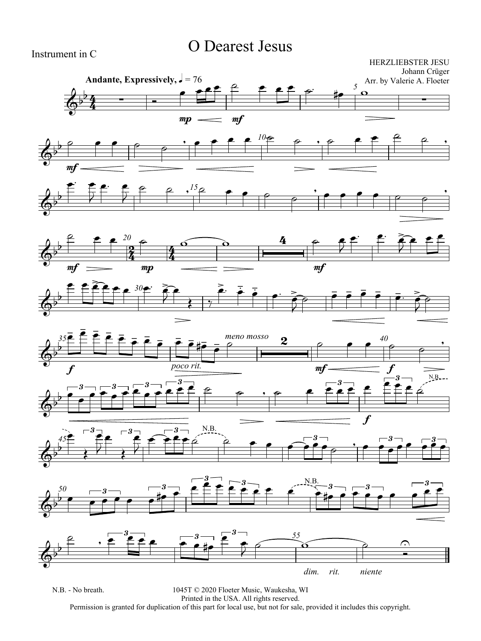## O Dearest Jesus

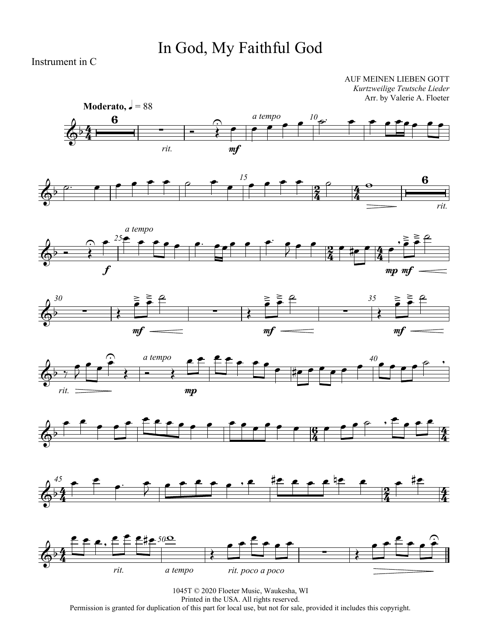# In God, My Faithful God

Instrument in C

AUF MEINEN LIEBEN GOTT *Kurtzweilige Teutsche Lieder* Arr. by Valerie A. Floeter

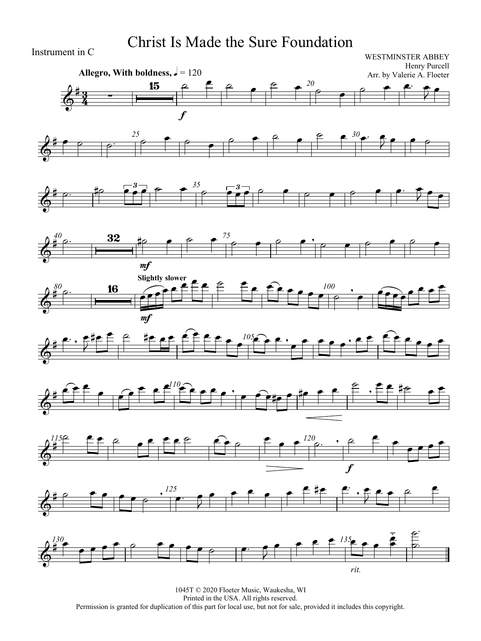### Christ Is Made the Sure Foundation

![](_page_2_Figure_1.jpeg)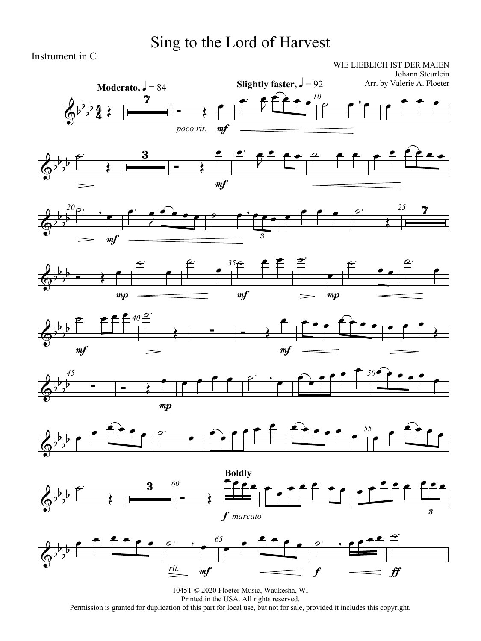## Sing to the Lord of Harvest

Instrument in C

WIE LIEBLICH IST DER MAIEN Johann Steurlein

![](_page_3_Figure_3.jpeg)

![](_page_3_Figure_4.jpeg)

![](_page_3_Figure_5.jpeg)

![](_page_3_Figure_6.jpeg)

![](_page_3_Figure_7.jpeg)

![](_page_3_Figure_8.jpeg)

![](_page_3_Figure_9.jpeg)

![](_page_3_Figure_10.jpeg)

![](_page_3_Figure_11.jpeg)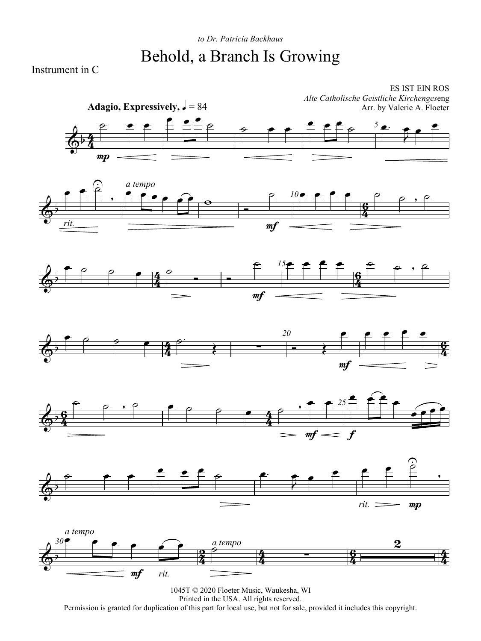### *to Dr. Patricia Backhaus* Behold, a Branch Is Growing

Instrument in C

![](_page_4_Figure_2.jpeg)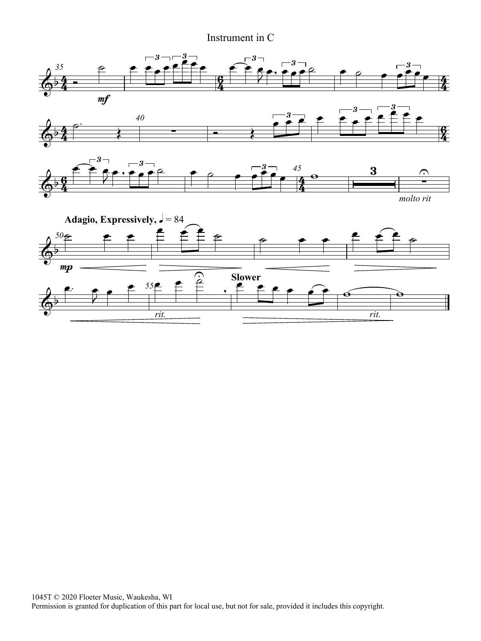#### Instrument in C

![](_page_5_Figure_1.jpeg)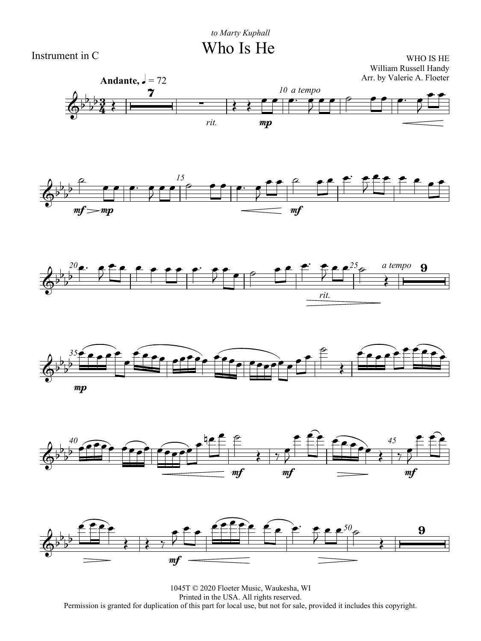Who Is He

Instrument in C

WHO IS HE William Russell Handy Arr. by Valerie A. Floeter

![](_page_6_Figure_4.jpeg)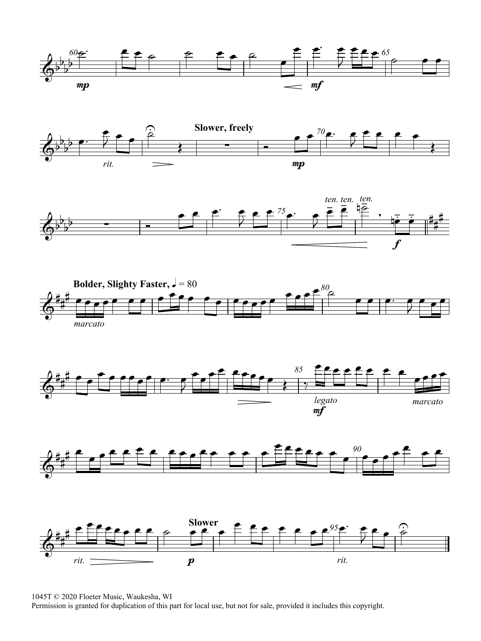![](_page_7_Figure_0.jpeg)

![](_page_7_Figure_1.jpeg)

![](_page_7_Figure_2.jpeg)

![](_page_7_Figure_3.jpeg)

![](_page_7_Figure_4.jpeg)

![](_page_7_Figure_5.jpeg)

![](_page_7_Figure_6.jpeg)

1045T © 2020 Floeter Music, Waukesha, WI

Permission is granted for duplication of this part for local use, but not for sale, provided it includes this copyright.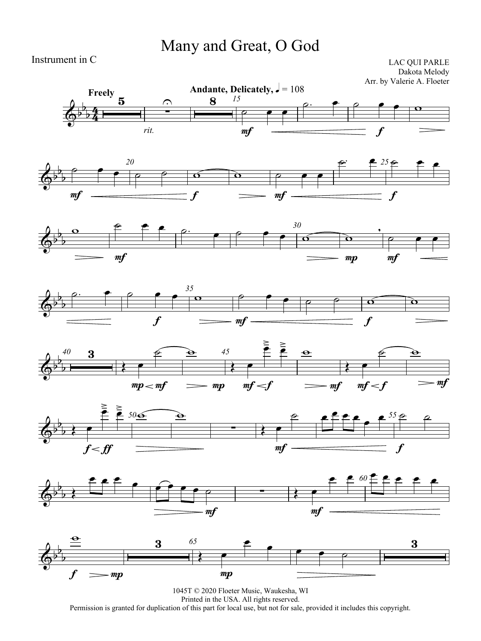## Many and Great, O God

Instrument in C

LAC QUI PARLE Dakota Melody Arr. by Valerie A. Floeter

![](_page_8_Figure_3.jpeg)

![](_page_8_Figure_4.jpeg)

![](_page_8_Figure_5.jpeg)

![](_page_8_Figure_6.jpeg)

![](_page_8_Figure_7.jpeg)

![](_page_8_Figure_8.jpeg)

![](_page_8_Figure_9.jpeg)

![](_page_8_Figure_10.jpeg)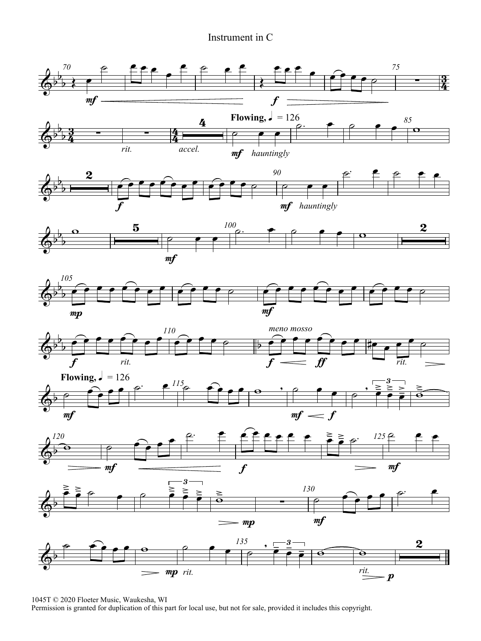#### Instrument in C

![](_page_9_Figure_1.jpeg)

1045T © 2020 Floeter Music, Waukesha, WI

Permission is granted for duplication of this part for local use, but not for sale, provided it includes this copyright.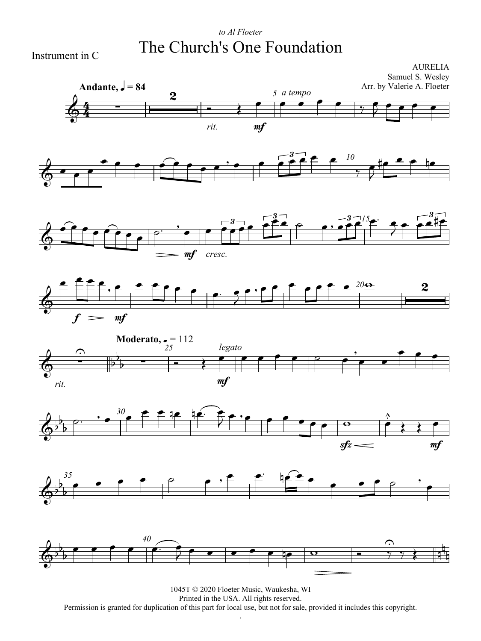### *to Al Floeter* The Church's One Foundation

Instrument in C

![](_page_10_Figure_2.jpeg)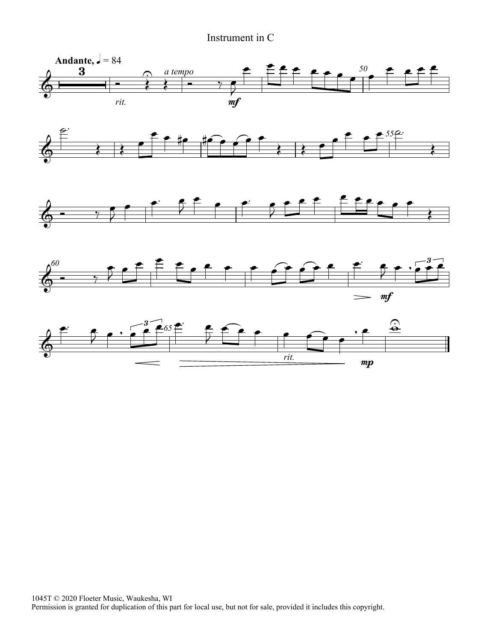#### Instrument in C

![](_page_11_Figure_1.jpeg)